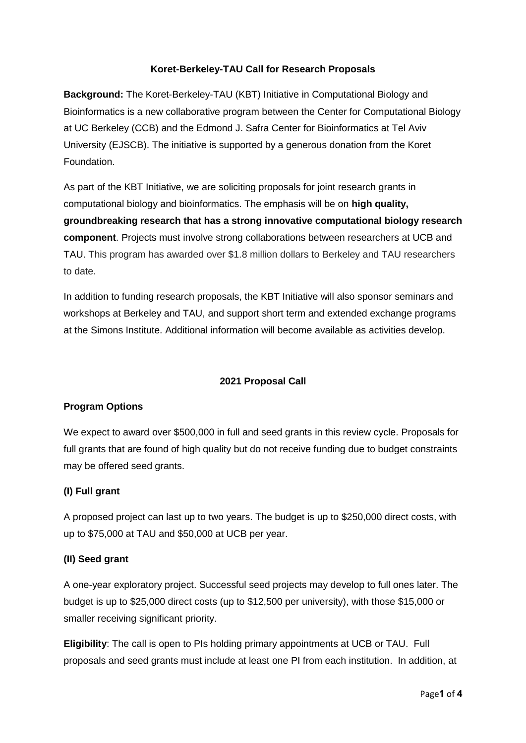## **Koret-Berkeley-TAU Call for Research Proposals**

**Background:** The Koret-Berkeley-TAU (KBT) Initiative in Computational Biology and Bioinformatics is a new collaborative program between the Center for Computational Biology at UC Berkeley (CCB) and the Edmond J. Safra Center for Bioinformatics at Tel Aviv University (EJSCB). The initiative is supported by a generous donation from the Koret Foundation.

As part of the KBT Initiative, we are soliciting proposals for joint research grants in computational biology and bioinformatics. The emphasis will be on **high quality, groundbreaking research that has a strong innovative computational biology research component**. Projects must involve strong collaborations between researchers at UCB and TAU. This program has awarded over \$1.8 million dollars to Berkeley and TAU researchers to date.

In addition to funding research proposals, the KBT Initiative will also sponsor seminars and workshops at Berkeley and TAU, and support short term and extended exchange programs at the Simons Institute. Additional information will become available as activities develop.

# **2021 Proposal Call**

#### **Program Options**

We expect to award over \$500,000 in full and seed grants in this review cycle. Proposals for full grants that are found of high quality but do not receive funding due to budget constraints may be offered seed grants.

# **(I) Full grant**

A proposed project can last up to two years. The budget is up to \$250,000 direct costs, with up to \$75,000 at TAU and \$50,000 at UCB per year.

#### **(II) Seed grant**

A one-year exploratory project. Successful seed projects may develop to full ones later. The budget is up to \$25,000 direct costs (up to \$12,500 per university), with those \$15,000 or smaller receiving significant priority.

**Eligibility**: The call is open to PIs holding primary appointments at UCB or TAU. Full proposals and seed grants must include at least one PI from each institution. In addition, at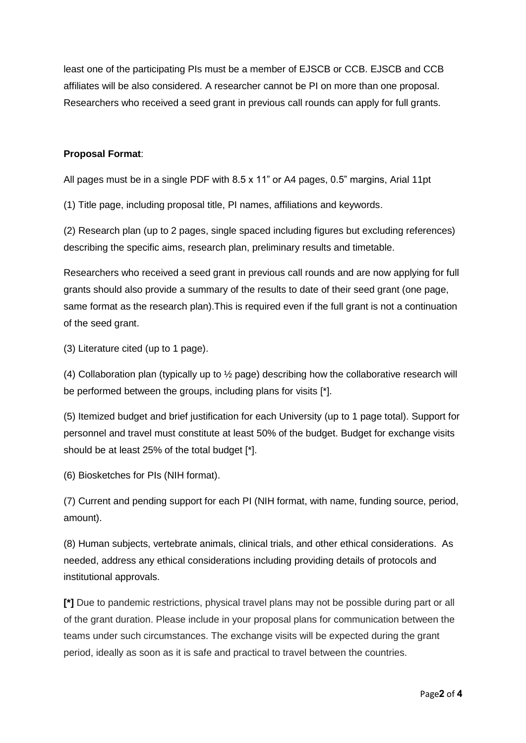least one of the participating PIs must be a member of EJSCB or CCB. EJSCB and CCB affiliates will be also considered. A researcher cannot be PI on more than one proposal. Researchers who received a seed grant in previous call rounds can apply for full grants.

# **Proposal Format**:

All pages must be in a single PDF with 8.5 x 11" or A4 pages, 0.5" margins, Arial 11pt

(1) Title page, including proposal title, PI names, affiliations and keywords.

(2) Research plan (up to 2 pages, single spaced including figures but excluding references) describing the specific aims, research plan, preliminary results and timetable.

Researchers who received a seed grant in previous call rounds and are now applying for full grants should also provide a summary of the results to date of their seed grant (one page, same format as the research plan).This is required even if the full grant is not a continuation of the seed grant.

(3) Literature cited (up to 1 page).

(4) Collaboration plan (typically up to ½ page) describing how the collaborative research will be performed between the groups, including plans for visits [\*].

(5) Itemized budget and brief justification for each University (up to 1 page total). Support for personnel and travel must constitute at least 50% of the budget. Budget for exchange visits should be at least 25% of the total budget [\*].

(6) Biosketches for PIs (NIH format).

(7) Current and pending support for each PI (NIH format, with name, funding source, period, amount).

(8) Human subjects, vertebrate animals, clinical trials, and other ethical considerations. As needed, address any ethical considerations including providing details of protocols and institutional approvals.

**[\*]** Due to pandemic restrictions, physical travel plans may not be possible during part or all of the grant duration. Please include in your proposal plans for communication between the teams under such circumstances. The exchange visits will be expected during the grant period, ideally as soon as it is safe and practical to travel between the countries.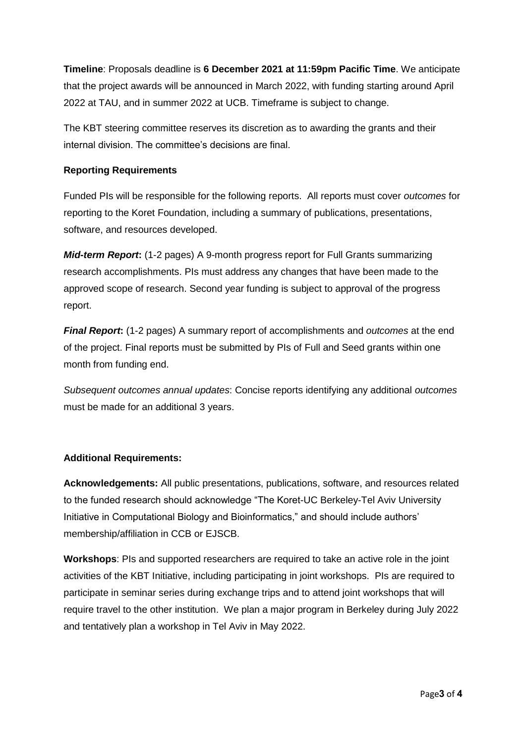**Timeline**: Proposals deadline is **6 December 2021 at 11:59pm Pacific Time**. We anticipate that the project awards will be announced in March 2022, with funding starting around April 2022 at TAU, and in summer 2022 at UCB. Timeframe is subject to change.

The KBT steering committee reserves its discretion as to awarding the grants and their internal division. The committee's decisions are final.

# **Reporting Requirements**

Funded PIs will be responsible for the following reports. All reports must cover *outcomes* for reporting to the Koret Foundation, including a summary of publications, presentations, software, and resources developed.

*Mid-term Report***:** (1-2 pages) A 9-month progress report for Full Grants summarizing research accomplishments. PIs must address any changes that have been made to the approved scope of research. Second year funding is subject to approval of the progress report.

*Final Report***:** (1-2 pages) A summary report of accomplishments and *outcomes* at the end of the project. Final reports must be submitted by PIs of Full and Seed grants within one month from funding end.

*Subsequent outcomes annual updates*: Concise reports identifying any additional *outcomes* must be made for an additional 3 years.

# **Additional Requirements:**

**Acknowledgements:** All public presentations, publications, software, and resources related to the funded research should acknowledge "The Koret-UC Berkeley-Tel Aviv University Initiative in Computational Biology and Bioinformatics," and should include authors' membership/affiliation in CCB or EJSCB.

**Workshops**: PIs and supported researchers are required to take an active role in the joint activities of the KBT Initiative, including participating in joint workshops. PIs are required to participate in seminar series during exchange trips and to attend joint workshops that will require travel to the other institution. We plan a major program in Berkeley during July 2022 and tentatively plan a workshop in Tel Aviv in May 2022.